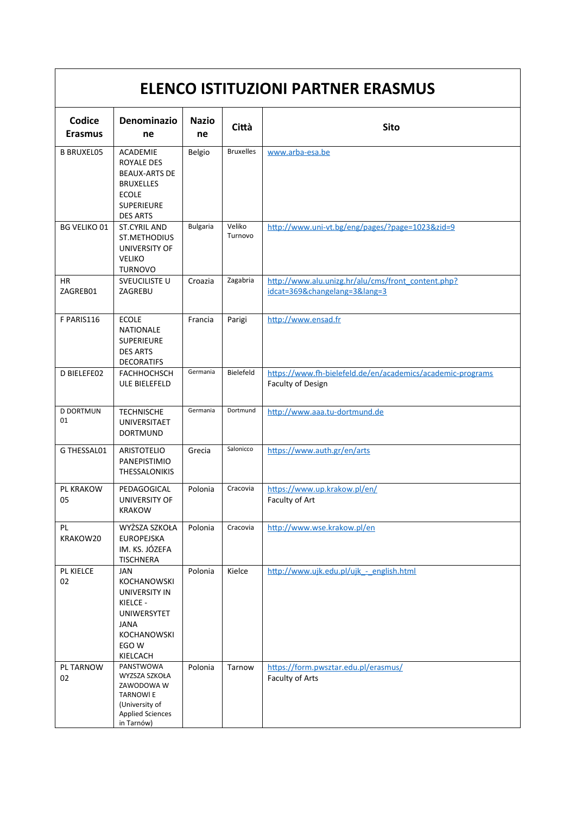| <b>ELENCO ISTITUZIONI PARTNER ERASMUS</b> |                                                                                                                                   |                    |                   |                                                                                 |  |  |
|-------------------------------------------|-----------------------------------------------------------------------------------------------------------------------------------|--------------------|-------------------|---------------------------------------------------------------------------------|--|--|
| Codice<br><b>Erasmus</b>                  | <b>Denominazio</b><br>ne                                                                                                          | <b>Nazio</b><br>ne | Città             | <b>Sito</b>                                                                     |  |  |
| <b>B BRUXEL05</b>                         | <b>ACADEMIE</b><br>ROYALE DES<br><b>BEAUX-ARTS DE</b><br><b>BRUXELLES</b><br><b>ECOLE</b><br><b>SUPERIEURE</b><br><b>DES ARTS</b> | Belgio             | <b>Bruxelles</b>  | www.arba-esa.be                                                                 |  |  |
| <b>BG VELIKO 01</b>                       | <b>ST.CYRIL AND</b><br>ST.METHODIUS<br>UNIVERSITY OF<br><b>VELIKO</b><br><b>TURNOVO</b>                                           | <b>Bulgaria</b>    | Veliko<br>Turnovo | http://www.uni-vt.bg/eng/pages/?page=1023&zid=9                                 |  |  |
| HR.<br>ZAGREB01                           | SVEUCILISTE U<br>ZAGREBU                                                                                                          | Croazia            | Zagabria          | http://www.alu.unizg.hr/alu/cms/front_content.php?<br>idcat=369&changelang=3⟨=3 |  |  |
| F PARIS116                                | <b>ECOLE</b><br>NATIONALE<br><b>SUPERIEURE</b><br><b>DES ARTS</b><br><b>DECORATIFS</b>                                            | Francia            | Parigi            | http://www.ensad.fr                                                             |  |  |
| D BIELEFE02                               | <b>FACHHOCHSCH</b><br>ULE BIELEFELD                                                                                               | Germania           | Bielefeld         | https://www.fh-bielefeld.de/en/academics/academic-programs<br>Faculty of Design |  |  |
| <b>D DORTMUN</b><br>01                    | <b>TECHNISCHE</b><br>UNIVERSITAET<br><b>DORTMUND</b>                                                                              | Germania           | Dortmund          | http://www.aaa.tu-dortmund.de                                                   |  |  |
| G THESSAL01                               | <b>ARISTOTELIO</b><br><b>PANEPISTIMIO</b><br><b>THESSALONIKIS</b>                                                                 | Grecia             | Salonicco         | https://www.auth.gr/en/arts                                                     |  |  |
| PL KRAKOW<br>05                           | PEDAGOGICAL<br>UNIVERSITY OF<br><b>KRAKOW</b>                                                                                     | Polonia            | Cracovia          | https://www.up.krakow.pl/en/<br>Faculty of Art                                  |  |  |
| PL<br>KRAKOW20                            | WYŻSZA SZKOŁA<br><b>EUROPEJSKA</b><br>IM. KS. JÓZEFA<br><b>TISCHNERA</b>                                                          | Polonia            | Cracovia          | http://www.wse.krakow.pl/en                                                     |  |  |
| PL KIELCE<br>02                           | JAN<br>KOCHANOWSKI<br>UNIVERSITY IN<br>KIELCE -<br>UNIWERSYTET<br><b>JANA</b><br>KOCHANOWSKI<br>EGO W<br>KIELCACH                 | Polonia            | Kielce            | http://www.ujk.edu.pl/ujk - english.html                                        |  |  |
| PL TARNOW<br>02                           | PANSTWOWA<br>WYZSZA SZKOŁA<br>ZAWODOWA W<br><b>TARNOWIE</b><br>(University of<br><b>Applied Sciences</b><br>in Tarnów)            | Polonia            | Tarnow            | https://form.pwsztar.edu.pl/erasmus/<br>Faculty of Arts                         |  |  |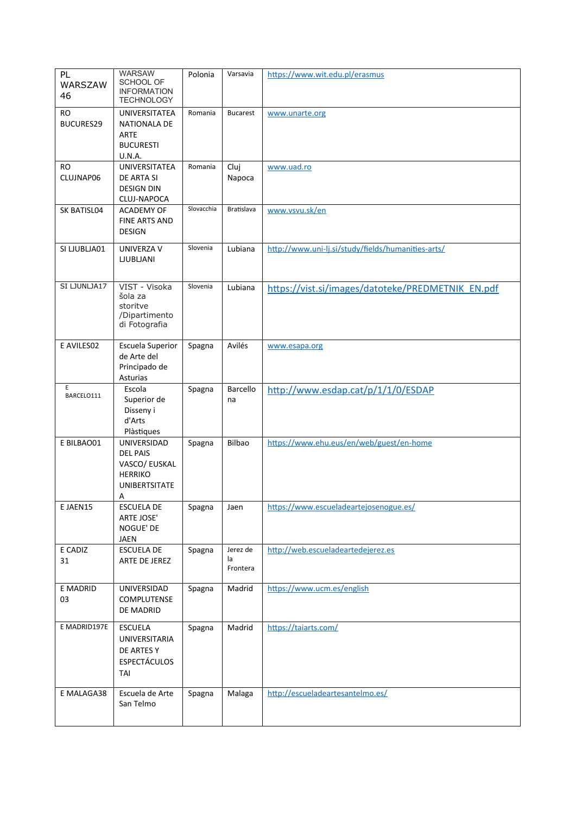| PL<br>WARSZAW<br>46           | <b>WARSAW</b><br>SCHOOL OF<br><b>INFORMATION</b><br><b>TECHNOLOGY</b>                   | Polonia    | Varsavia                   | https://www.wit.edu.pl/erasmus                     |
|-------------------------------|-----------------------------------------------------------------------------------------|------------|----------------------------|----------------------------------------------------|
| <b>RO</b><br><b>BUCURES29</b> | UNIVERSITATEA<br>NATIONALA DE<br><b>ARTE</b><br><b>BUCURESTI</b><br><b>U.N.A.</b>       | Romania    | <b>Bucarest</b>            | www.unarte.org                                     |
| RO<br>CLUJNAP06               | UNIVERSITATEA<br>DE ARTA SI<br><b>DESIGN DIN</b><br>CLUJ-NAPOCA                         | Romania    | Cluj<br>Napoca             | www.uad.ro                                         |
| SK BATISL04                   | <b>ACADEMY OF</b><br><b>FINE ARTS AND</b><br><b>DESIGN</b>                              | Slovacchia | Bratislava                 | www.vsvu.sk/en                                     |
| SI LJUBLJA01                  | UNIVERZA V<br><b>LJUBLJANI</b>                                                          | Slovenia   | Lubiana                    | http://www.uni-lj.si/study/fields/humanities-arts/ |
| SI LJUNLJA17                  | VIST - Visoka<br>šola za<br>storitve<br>/Dipartimento<br>di Fotografia                  | Slovenia   | Lubiana                    | https://vist.si/images/datoteke/PREDMETNIK EN.pdf  |
| E AVILES02                    | <b>Escuela Superior</b><br>de Arte del<br>Principado de<br>Asturias                     | Spagna     | Avilés                     | www.esapa.org                                      |
| E<br>BARCELO111               | Escola<br>Superior de<br>Disseny i<br>d'Arts<br>Plàstiques                              | Spagna     | Barcello<br>na             | http://www.esdap.cat/p/1/1/0/ESDAP                 |
| E BILBAO01                    | UNIVERSIDAD<br><b>DEL PAIS</b><br>VASCO/ EUSKAL<br><b>HERRIKO</b><br>UNIBERTSITATE<br>Α | Spagna     | Bilbao                     | https://www.ehu.eus/en/web/guest/en-home           |
| E JAEN15                      | <b>ESCUELA DE</b><br>ARTE JOSE'<br>NOGUE' DE<br>JAEN                                    | Spagna     | Jaen                       | https://www.escueladeartejosenogue.es/             |
| E CADIZ<br>31                 | <b>ESCUELA DE</b><br>ARTE DE JEREZ                                                      | Spagna     | Jerez de<br>la<br>Frontera | http://web.escueladeartedejerez.es                 |
| E MADRID<br>03                | UNIVERSIDAD<br>COMPLUTENSE<br>DE MADRID                                                 | Spagna     | Madrid                     | https://www.ucm.es/english                         |
| E MADRID197E                  | <b>ESCUELA</b><br>UNIVERSITARIA<br>DE ARTES Y<br><b>ESPECTÁCULOS</b><br>TAI             | Spagna     | Madrid                     | https://taiarts.com/                               |
| E MALAGA38                    | Escuela de Arte<br>San Telmo                                                            | Spagna     | Malaga                     | http://escueladeartesantelmo.es/                   |